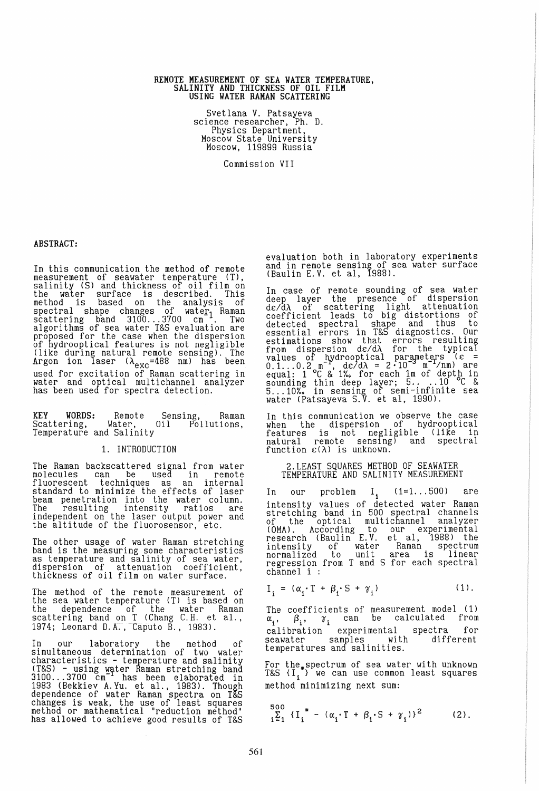# REMOTE MEASUREMENT OF SEA WATER TEMPERATURE,<br>SALINITY AND THICKNESS OF OIL FILM USING YATER RAMAN SCATTERING

Svetlana V. Patsayeva science researcher, Ph. D. Physics Department, Moscow State University Moscow, 119899 Russia

Commission VII

## ABSTRACT:

In this communication the method of remote<br>measurement of seawater temperature (T), salinity (S) and thickness of oil film on the water surface is described. This method is based on the analysis of spectral shape changes of water Raman<br>scattering band 3100...3700 cm<sup>-1</sup>. Two<br>algorithms of sea water T&S evaluation are proposed for the case when the dispersion of hydrooptical features is not negligible (like during natural remote sensing). The (like during natural remote sensing). The<br>Argon ion laser  $(\lambda_{\text{exc}}=488 \text{ nm})$  has been used for excitation of Raman scattering in water and optical multichannel analyzer has been used for spectra detection.

KEY WORDS: Remote Sensing, Raman Scattering, Water, 011 Pollutions,<br>Temperature and Salinity

### 1. INTRODUCTION

The Raman backscattered signal from water molecules can be used in remote fluorescent techniques as an internal standard to minimize the effects of laser beam penetration into the water column. The resulting intensity ratios are independent on the laser output power and the altitude of the fluorosensor, etc.

The other usage of water Raman stretching band is the measuring some characteristics as temperature and salinity of sea water,<br>dispersion of attenuation coefficient, thickness of oil film on water surface. '

The method of the remote measurement of the sea water temperature (T) is based on the dependence of the water Raman<br>scattering band on T (Chang C.H. et al., 1974; Leonard D.A., Caputo B., 1983).

In our laboratory the method of sImultaneous determination of two water characteristics - temperature and salinity<br>(T&S) - using water Raman stretching band 3100 ... 3700 cm has been elaborated in 1983 (Bekkiev A.Yu. et al., 1983). Though dependence of water Raman spectra on T&S changes is weak, the use of least squares<br>method or mathematical "reduction method" has allowed to achieve good results of T&S

evaluation both in laboratory experiments and in remote sensing of sea water surface (Baulin E. V. et aI, 1988).

In case of remote sounding of sea water deep layer the presence of dispersion d£/dA of scattering light attenuation coefficient leads to big distortions of detected spectral shape and thus to essential errors in T&S diagnostics. Our estimations show that errors resulting<br>from dispersion d $c/d\lambda$  for the typical<br>values of hydrooptical parameters ( $\epsilon$  =<br>0.1...0.2 m<sup>-1</sup>, d $\epsilon/d\lambda$  = 2.10<sup>-3</sup> m<sup>-1</sup>/nm) are equal:  $1^{\circ}$ C & 1%, for each 1m of depth in sounding thin deep layer; 5....10 °C &<br>5...10%<sub>2</sub> in sensing of semi-infinite sea water (Patsayeva S.V. et aI, 1990).

In this communication we observe the case when the dispersion of hydrooptical features is not negligible (like in nat ural remote sensing) and spectral function £(A) is unknown.

### 2.LEAST SQUARES METHOD OF SEAWATER TEMPERATURE AND SALINITY MEASUREMENT

In our problem I<sub>i</sub> (i=1...500) are intensity values of detected water Raman stretching band in 500 spectral channels of the optical multichannel analyzer<br>(OMA). According to our experimental research (Baulin E.V. et al, 1988) the intensity of water Raman spectrum normalized to unit area is linear regression from T and S for each spectral channel i :

$$
I_i = (\alpha_i \cdot T + \beta_i \cdot S + \gamma_i) \tag{1}.
$$

The coefficients of measurement model (1)  $\alpha_i$ ,  $\beta_i$ ,  $\gamma_i$  can be calculated from<br>calibration experimental spectra for calibration experimental spectra for<br>seawater samples with different seawater samples with temperatures and salinities.

For the, spectrum of sea water with unknown<br>T&S {I,\*} we can use common least squares method minimizing next sum:

$$
\sum_{i=1}^{500} \{I_i^* - (\alpha_i \cdot T + \beta_i \cdot S + \gamma_i)\}^2
$$
 (2).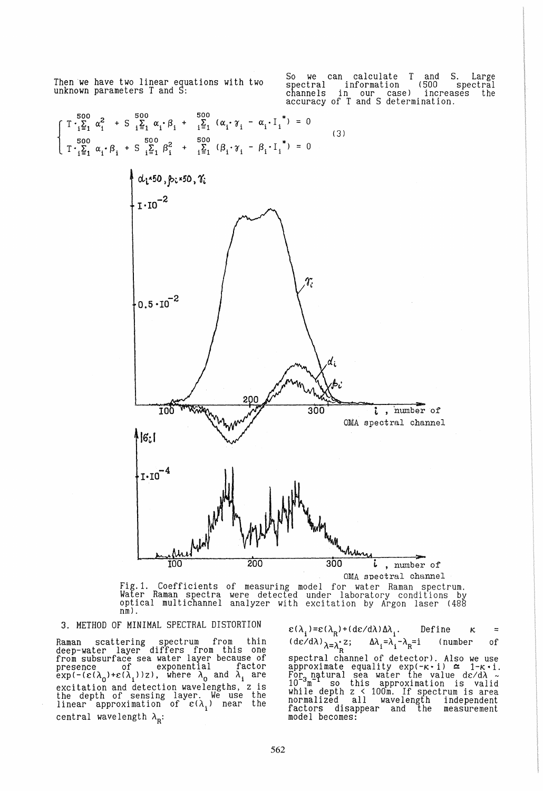Then we have two linear equations with two unknown parameters T and S:

So we can calculate T and S. Large spectral information (500 spectral channels in our case) increases the accuracy of T and S determination.

$$
\begin{cases}\nT \cdot \sum_{i=1}^{500} \alpha_i^2 + S \sum_{i=1}^{500} \alpha_i \cdot \beta_i + \sum_{i=1}^{500} (\alpha_i \cdot \gamma_i - \alpha_i \cdot I_i^*) = 0 \\
T \cdot \sum_{i=1}^{500} \alpha_i \cdot \beta_i + S \sum_{i=1}^{500} \beta_i^2 + \sum_{i=1}^{500} (\beta_i \cdot \gamma_i - \beta_i \cdot I_i^*) = 0\n\end{cases} (3)
$$



Fig.1. Coefficients of measuring model for water Raman spectrum.<br>Water Raman spectra were detected under laboratory conditions by<br>optical multichannel analyzer with excitation by Argon laser (488<br>nm).

## 3. METHOD OF MINIMAL SPECTRAL DISTORTION

Raman scattering spectrum from thin deep-water layer differs from this one from subsurface sea water layer because of presence of exponential factor  $\exp(-(\varepsilon(\lambda_0)+\varepsilon(\lambda_1))z)$ , where  $\lambda_0$  and  $\lambda_1$  are excitation and detection wavelengths, z is the depth of sensing layer. We use the linear approximation of  $\varepsilon(\lambda_1)$  near the central wavelength  $\lambda_{\rm R}$ :

 $\varepsilon(\lambda_i)=\varepsilon(\lambda_R)+(\frac{d\varepsilon}{d\lambda})\Delta\lambda_i$ . Define  $\kappa =$  $(\text{d}\varepsilon/\text{d}\lambda)\lambda = \lambda_R^2$ ;  $\Delta\lambda_i = \lambda_i - \lambda_R = i$  (number of spectral channel of detector). Also we use<br>approximate equality exp(-k·i)  $\simeq$  1-k·i. For natural sea water the value dc/d*i*<br>10<sup>-3</sup>m<sup>-1</sup> so this approximation is valid while depth z < 100m. If spectrum is area normalized all wavelength independent<br>factors disappear and the measurement model becomes: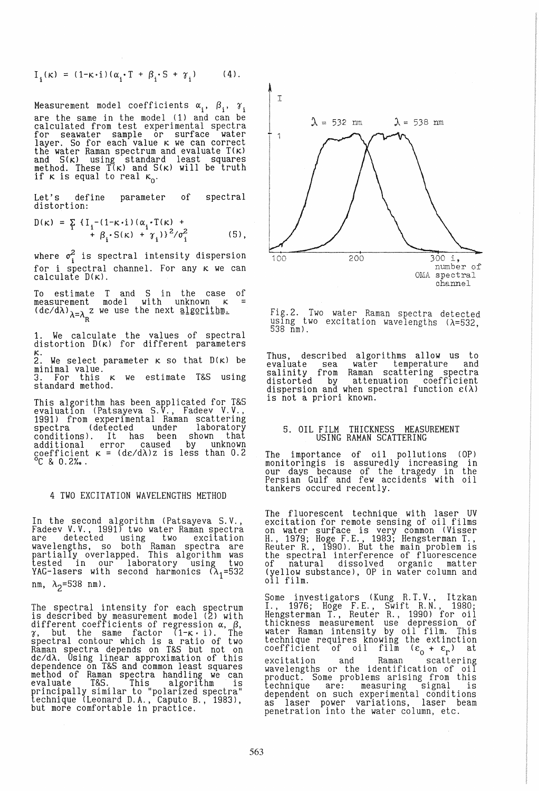$$
I_i(\kappa) = (1-\kappa \cdot i)(\alpha_i \cdot T + \beta_i \cdot S + \gamma_i)
$$
 (4).

Measurement model coefficients  $\alpha_i$ ,  $\beta_i$ ,  $\gamma_i$ are the same in the model (1) and can be calculated from test experimental spectra for seawater sample or surface water layer. So for each value k we can correct the water Raman spectrum and evaluate T(K) and S(K) using standard least squares method. These T(K) and S(K) will be truth if  $\kappa$  is equal to real  $\kappa_0$ .

Let's define parameter of spectral distortion:

$$
D(\kappa) = \sum_{i} {\{I_{i}^{-(1-\kappa \cdot i) (\alpha_{i} \cdot T(\kappa) + \beta_{i})} \}^{2} / \sigma_{i}^{2}}
$$
 (5),

where  $\sigma_{\rm i}^2$  is spectral intensity dispersion for i spectral channel. For any K we can calculate  $D(\kappa)$ .

To estimate T and S in the case of  $m$ easurement model with unknown  $\kappa$  =  $(d\varepsilon/d\lambda)_{\lambda=\lambda}$  z we use the next algorithm. R

1. We calculate the values of spectral distortion D(K) for different parameters

K. 2. We select parameter K so that D(K) be

minimal value.^<br>3. For this κ we estimate T&S using<br>standard method.

This algorithm has been applicated for T&S evaluation (Patsayeva S.V., Fadeev V.V., 1991) from experimental Raman scat tering spectra (detected under laboratory<br>conditions). It has been shown that additional error caused by unknown coefficient  $\kappa = (d\varepsilon/d\lambda)z$  is less than 0.2<br>  ${}^{\circ}C$  & 0.2‰.

## 4 TWO EXCITATION WAVELENGTHS METHOD

In the second algorithm (Patsayeva S.V.,<br>Fadeev V.V., 1991) two water Raman spectra are detected using two excitation wavelengths, so both Raman spectra are partially overlapped. This algorithm was tested in our laboratory using two  $YAG-1$ asers with second harmonics  $(\lambda_1=532)$ nm,  $\lambda_2$ =538 nm).

The spectral intensity for each spectrum<br>is described by measurement model (2) with different coefficients of regression *a, (3, a,* but the same factor (l-K' i). The spectral contour which is a ratio of two Raman spectra depends on T&S but not on dc/dA. Using linear approximation of this dependence on T&S and common least squares method of Raman spectra handling we can evaluate T&S. This algorithm is principally similar to "polarized spectra" technique (Leonard D.A., Caputo B., 1983), but more comfortable in practice.



Fig.2. Two water Raman spectra detected using two excitation wavelengths (X=532,<br>538 nm).

Thus, described algorithms allow us to evaluate sea water temperature and salinity from Raman scattering spectra distorted by attenuation coefficient dispersion and when spectral function  $\varepsilon(\lambda)$  is not a priori known.

## 5. OIL FILM THICKNESS MEASUREMENT USING RAMAN SCATTERING

The importance of oil pollutions (OP) monitoringis is assuredly increasing in our days because of the tragedy in the Persian Gulf and few accidents with oil tankers occured recently.

The fluorescent technique with laser UV excitation for remote sensing of oil films on water surface is very common (Vi sser H., 1979; Hoge F.E., 1983; Hengsterman T., Reuter R., 1990). But the main problem is the spectral interference of fluorescence of natural dissolved organic matter (yellow substance), OP in water column and oil film.

Some investigators (Kung R. T.V., Itzkan I., 1976; Hoge F.E., Swift R.N., 1980; Hengsterman T., Reuter R., 1990) for oi 1 thickness measurement use depression of water Raman intensity by oil film. This technique requires knowing the extinction coefficient of oil film  $(\varepsilon_0 + \varepsilon_r)$  at excitation and Raman scattering excreation and namali seated ing product. Some problems arising from this technique are: measuring signal is dependent on such experimental conditions as laser power variations, laser beam penetration into the water column, etc.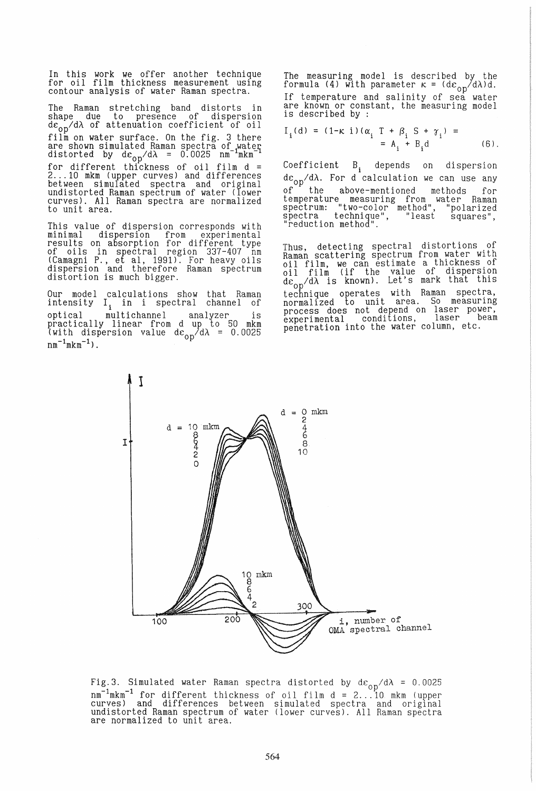In this work we offer another technique for oil film thickness measurement using contour analysis of water Raman spectra.

The Raman stretching band distorts in shape due to presence of dispersion<br>de<sub>on</sub>/dλ of attenuation coefficient of oil film on water surface. On the fig. 3 there are shown simulated Raman spectra of water<br>distorted by  $d\varepsilon_{\alpha n}/d\lambda = 0.0025$  nm<sup>-1</sup>mkm<sup>-1</sup> for different thickness of oil film d =<br>2...10 mkm (upper curves) and differences between simulated spectra and original undistorted Raman spectrum of water (lower curves). All Raman spectra are normalized to unit area.

This value of dispersion corresponds with minimal dispersion from experimental<br>results on absorption for different type<br>of oils in spectral region 337-407 nm (Camagni P., et aI, 1991). For heavy oils dispersion and therefore Raman spectrum distortion is much bigger.

Our model calculations show that Raman intensity I<sub>i</sub> in i spectral channel of optical multichannel analyzer is practically linear from d up to 50 mkm (with dispersion value  $d\varepsilon_{\text{on}}/d\lambda = 0.0025$  $nm^{-1}mkm^{-1})$ .

The measuring model is described by the<br>formula (4) with parameter  $\kappa = (d\varepsilon_{00}/d\lambda)d$ . If temperature and salinity of sea water are known or constant, the measuring model is described by :

$$
I_{i}(d) = (1 - \kappa i) (\alpha_{i} T + \beta_{i} S + \gamma_{i}) =
$$
  
= A\_{i} + B\_{i} d (6).

Coefficient B<sub>i</sub> depends on dispersion *dCop/dA.* For d calculation we can use any of the above-mentioned methods for temperature measuring from water Raman spectrum: "two-color method", "polarized spectra technique", "least squares",<br>"reduction method".

Thus, detecting spectral distortions of Raman scattering spectrum from water wlth haman seated ing opectrum is thickness of oil film (if the value of dispersion dc *IdA* is known). Let's mark that this de<sub>op</sub> as known). Let s mark that only<br>technique operates with Raman spectra, normalized to unit area. So measurlng normairzed es not depend on laser power,<br>experimental conditions, laser beam penetration into the water column, etc.



Fig.3. Simulated water Raman spectra distorted by  $d\varepsilon_{op}/d\lambda = 0.0025$ nm<sup>-1</sup>mkm<sup>-1</sup> for different thickness of oil film d = 2...10 mkm (upper<br>curves) and differences between simulated spectra and original<br>undistorted Raman spectrum of water (lower curves). All Raman spectra are normalized to unit area.